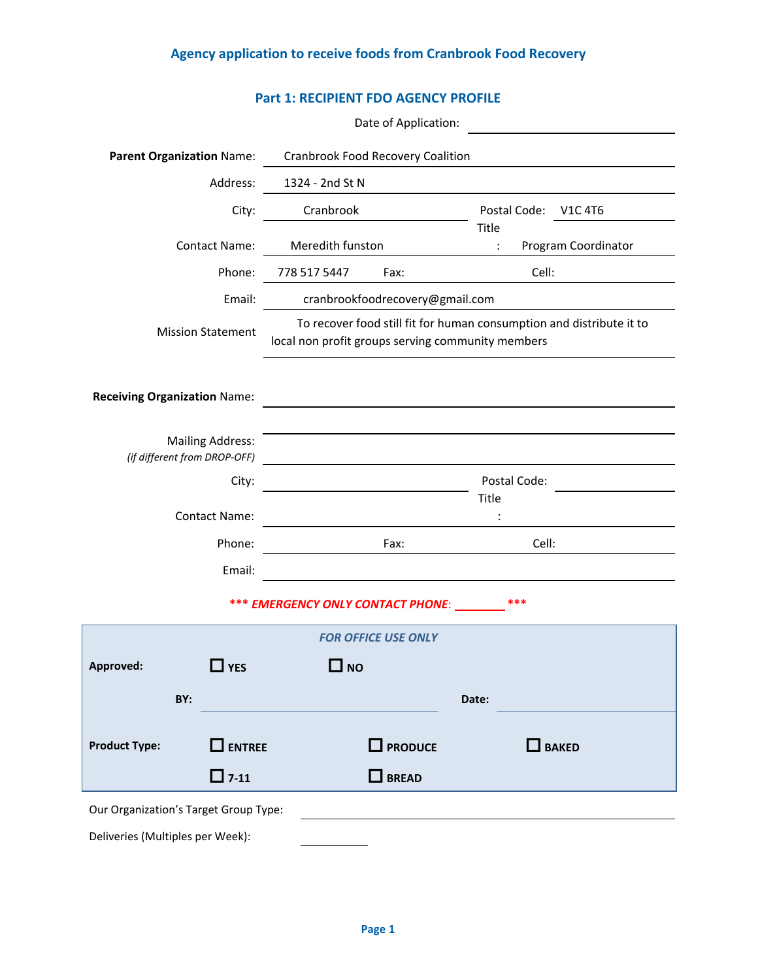## **Agency application to receive foods from Cranbrook Food Recovery**

|                                     |                                                         | <b>Part 1: RECIPIENT FDO AGENCY PROFILE</b>                                                                               |                                 |                         |       |                                  |  |
|-------------------------------------|---------------------------------------------------------|---------------------------------------------------------------------------------------------------------------------------|---------------------------------|-------------------------|-------|----------------------------------|--|
|                                     |                                                         |                                                                                                                           | Date of Application:            |                         |       |                                  |  |
| <b>Parent Organization Name:</b>    |                                                         | <b>Cranbrook Food Recovery Coalition</b>                                                                                  |                                 |                         |       |                                  |  |
|                                     | Address:                                                | 1324 - 2nd St N                                                                                                           |                                 |                         |       |                                  |  |
|                                     | City:                                                   | Cranbrook                                                                                                                 |                                 | Postal Code:            |       | V <sub>1</sub> C 4T <sub>6</sub> |  |
|                                     | <b>Contact Name:</b>                                    | Meredith funston                                                                                                          |                                 | Title<br>$\ddot{\cdot}$ |       | Program Coordinator              |  |
|                                     | Phone:                                                  | 778 517 5447                                                                                                              | Fax:                            |                         | Cell: |                                  |  |
|                                     | Email:                                                  |                                                                                                                           | cranbrookfoodrecovery@gmail.com |                         |       |                                  |  |
|                                     | <b>Mission Statement</b>                                | To recover food still fit for human consumption and distribute it to<br>local non profit groups serving community members |                                 |                         |       |                                  |  |
| <b>Receiving Organization Name:</b> |                                                         |                                                                                                                           |                                 |                         |       |                                  |  |
|                                     | <b>Mailing Address:</b><br>(if different from DROP-OFF) |                                                                                                                           |                                 |                         |       |                                  |  |
|                                     | City:                                                   |                                                                                                                           |                                 | Postal Code:            |       |                                  |  |
|                                     | <b>Contact Name:</b>                                    |                                                                                                                           |                                 | Title                   |       |                                  |  |
|                                     | Phone:                                                  |                                                                                                                           | Fax:                            |                         | Cell: |                                  |  |
|                                     | Email:                                                  |                                                                                                                           |                                 |                         |       |                                  |  |
|                                     |                                                         | *** EMERGENCY ONLY CONTACT PHONE:                                                                                         |                                 |                         |       |                                  |  |
|                                     |                                                         |                                                                                                                           | <b>FOR OFFICE USE ONLY</b>      |                         |       |                                  |  |
| Approved:                           | $\Box$ YES                                              | $\square$ NO                                                                                                              |                                 |                         |       |                                  |  |
| RV·                                 |                                                         |                                                                                                                           |                                 | Date:                   |       |                                  |  |

**Approved:** □**YES** □**NO BY: Date:** Product Type: □ ENTREE □ PRODUCE □ BAKED □**7-11** □**BREAD** Our Organization's Target Group Type: Deliveries (Multiples per Week):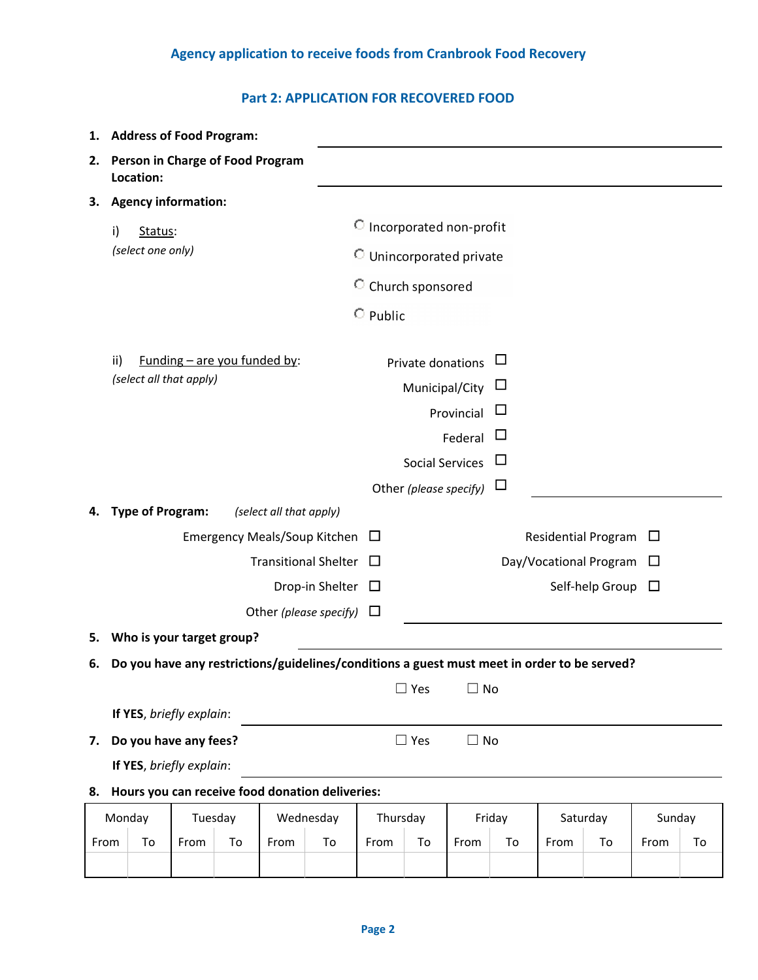## **Agency application to receive foods from Cranbrook Food Recovery**

## **Part 2: APPLICATION FOR RECOVERED FOOD**

| 1.         | <b>Address of Food Program:</b>                                                             |      |                |                                     |                        |              |                                     |           |        |                     |                        |        |    |
|------------|---------------------------------------------------------------------------------------------|------|----------------|-------------------------------------|------------------------|--------------|-------------------------------------|-----------|--------|---------------------|------------------------|--------|----|
| 2.         | Person in Charge of Food Program<br>Location:                                               |      |                |                                     |                        |              |                                     |           |        |                     |                        |        |    |
| З.         | <b>Agency information:</b>                                                                  |      |                |                                     |                        |              |                                     |           |        |                     |                        |        |    |
|            | i)<br>Status:                                                                               |      |                |                                     |                        |              | C Incorporated non-profit           |           |        |                     |                        |        |    |
|            | (select one only)                                                                           |      |                |                                     |                        |              | <b>C</b> Unincorporated private     |           |        |                     |                        |        |    |
|            |                                                                                             |      |                |                                     |                        |              | <sup>O</sup> Church sponsored       |           |        |                     |                        |        |    |
|            |                                                                                             |      | $\circ$ Public |                                     |                        |              |                                     |           |        |                     |                        |        |    |
|            | Funding $-$ are you funded by:<br>ii)<br>(select all that apply)                            |      |                |                                     |                        |              | Private donations<br>Municipal/City |           |        |                     |                        |        |    |
| Provincial |                                                                                             |      |                |                                     |                        |              |                                     |           |        |                     |                        |        |    |
|            |                                                                                             |      |                |                                     |                        |              |                                     | Federal   |        |                     |                        |        |    |
|            |                                                                                             |      |                |                                     |                        |              | <b>Social Services</b>              |           |        |                     |                        |        |    |
|            |                                                                                             |      |                |                                     |                        |              | Other (please specify)              |           |        |                     |                        |        |    |
| 4.         | <b>Type of Program:</b>                                                                     |      |                | (select all that apply)             |                        |              |                                     |           |        |                     |                        |        |    |
|            |                                                                                             |      |                | <b>Emergency Meals/Soup Kitchen</b> | ⊔                      |              |                                     |           |        | Residential Program | ப                      |        |    |
|            | <b>Transitional Shelter</b><br>Drop-in Shelter $\Box$                                       |      |                |                                     |                        | $\mathbf{1}$ |                                     |           |        |                     | Day/Vocational Program | ப      |    |
|            |                                                                                             |      |                |                                     | Other (please specify) | ⊔            |                                     |           |        |                     | Self-help Group        | $\Box$ |    |
|            | Who is your target group?                                                                   |      |                |                                     |                        |              |                                     |           |        |                     |                        |        |    |
| 5.         |                                                                                             |      |                |                                     |                        |              |                                     |           |        |                     |                        |        |    |
| 6.         | Do you have any restrictions/guidelines/conditions a guest must meet in order to be served? |      |                |                                     |                        |              | $\sqsupset$ Yes                     | $\Box$ No |        |                     |                        |        |    |
|            | If YES, briefly explain:                                                                    |      |                |                                     |                        |              |                                     |           |        |                     |                        |        |    |
| 7.         |                                                                                             |      |                |                                     |                        |              |                                     |           |        |                     |                        |        |    |
|            | $\Box$ Yes<br>$\Box$ No<br>Do you have any fees?<br>If YES, briefly explain:                |      |                |                                     |                        |              |                                     |           |        |                     |                        |        |    |
| 8.         | Hours you can receive food donation deliveries:                                             |      |                |                                     |                        |              |                                     |           |        |                     |                        |        |    |
|            | Monday<br>Tuesday<br>Wednesday                                                              |      |                |                                     | Thursday<br>Friday     |              |                                     | Saturday  | Sunday |                     |                        |        |    |
|            | From<br>To                                                                                  | From | To             | From                                | To                     | From         | To                                  | From      | To     | From                | To                     | From   | To |